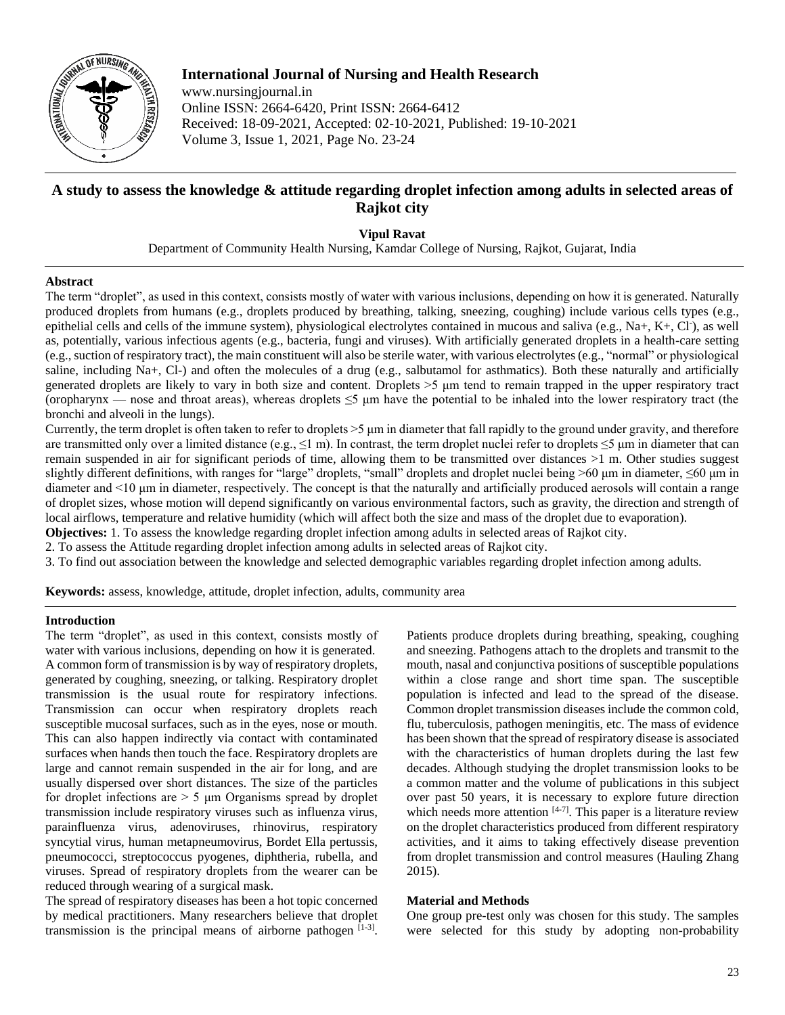

**International Journal of Nursing and Health Research** www.nursingjournal.in Online ISSN: 2664-6420, Print ISSN: 2664-6412 Received: 18-09-2021, Accepted: 02-10-2021, Published: 19-10-2021 Volume 3, Issue 1, 2021, Page No. 23-24

# **A study to assess the knowledge & attitude regarding droplet infection among adults in selected areas of Rajkot city**

**Vipul Ravat**

Department of Community Health Nursing, Kamdar College of Nursing, Rajkot, Gujarat, India

# **Abstract**

The term "droplet", as used in this context, consists mostly of water with various inclusions, depending on how it is generated. Naturally produced droplets from humans (e.g., droplets produced by breathing, talking, sneezing, coughing) include various cells types (e.g., epithelial cells and cells of the immune system), physiological electrolytes contained in mucous and saliva (e.g., Na+, K+, Cl·), as well as, potentially, various infectious agents (e.g., bacteria, fungi and viruses). With artificially generated droplets in a health-care setting (e.g.,suction of respiratory tract), the main constituent will also be sterile water, with various electrolytes (e.g., "normal" or physiological saline, including Na+, Cl-) and often the molecules of a drug (e.g., salbutamol for asthmatics). Both these naturally and artificially generated droplets are likely to vary in both size and content. Droplets >5 μm tend to remain trapped in the upper respiratory tract (oropharynx — nose and throat areas), whereas droplets  $\leq$  µm have the potential to be inhaled into the lower respiratory tract (the bronchi and alveoli in the lungs).

Currently, the term droplet is often taken to refer to droplets >5 μm in diameter that fall rapidly to the ground under gravity, and therefore are transmitted only over a limited distance (e.g.,  $\leq 1$  m). In contrast, the term droplet nuclei refer to droplets  $\leq 5$  µm in diameter that can remain suspended in air for significant periods of time, allowing them to be transmitted over distances >1 m. Other studies suggest slightly different definitions, with ranges for "large" droplets, "small" droplets and droplet nuclei being >60 μm in diameter, ≤60 μm in diameter and <10 μm in diameter, respectively. The concept is that the naturally and artificially produced aerosols will contain a range of droplet sizes, whose motion will depend significantly on various environmental factors, such as gravity, the direction and strength of local airflows, temperature and relative humidity (which will affect both the size and mass of the droplet due to evaporation).

**Objectives:** 1. To assess the knowledge regarding droplet infection among adults in selected areas of Rajkot city.

2. To assess the Attitude regarding droplet infection among adults in selected areas of Rajkot city.

3. To find out association between the knowledge and selected demographic variables regarding droplet infection among adults.

**Keywords:** assess, knowledge, attitude, droplet infection, adults, community area

### **Introduction**

The term "droplet", as used in this context, consists mostly of water with various inclusions, depending on how it is generated. A common form of transmission is by way of respiratory droplets, generated by coughing, sneezing, or talking. Respiratory droplet transmission is the usual route for respiratory infections. Transmission can occur when respiratory droplets reach susceptible mucosal surfaces, such as in the eyes, nose or mouth. This can also happen indirectly via contact with contaminated surfaces when hands then touch the face. Respiratory droplets are large and cannot remain suspended in the air for long, and are usually dispersed over short distances. The size of the particles for droplet infections are > 5 μm Organisms spread by droplet transmission include respiratory viruses such as influenza virus, parainfluenza virus, adenoviruses, rhinovirus, respiratory syncytial virus, human metapneumovirus, Bordet Ella pertussis, pneumococci, streptococcus pyogenes, diphtheria, rubella, and viruses. Spread of respiratory droplets from the wearer can be reduced through wearing of a surgical mask.

The spread of respiratory diseases has been a hot topic concerned by medical practitioners. Many researchers believe that droplet transmission is the principal means of airborne pathogen  $[1-3]$ . Patients produce droplets during breathing, speaking, coughing and sneezing. Pathogens attach to the droplets and transmit to the mouth, nasal and conjunctiva positions of susceptible populations within a close range and short time span. The susceptible population is infected and lead to the spread of the disease. Common droplet transmission diseases include the common cold, flu, tuberculosis, pathogen meningitis, etc. The mass of evidence has been shown that the spread of respiratory disease is associated with the characteristics of human droplets during the last few decades. Although studying the droplet transmission looks to be a common matter and the volume of publications in this subject over past 50 years, it is necessary to explore future direction which needs more attention [4-7]. This paper is a literature review on the droplet characteristics produced from different respiratory activities, and it aims to taking effectively disease prevention from droplet transmission and control measures (Hauling Zhang 2015).

## **Material and Methods**

One group pre-test only was chosen for this study. The samples were selected for this study by adopting non-probability